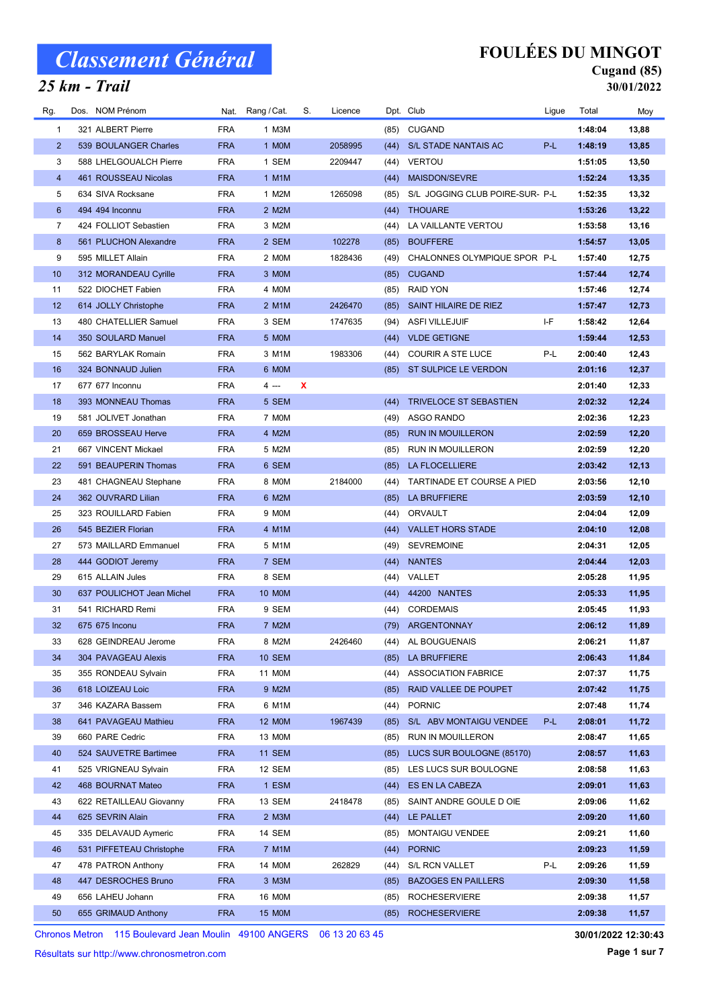### 25 km - Trail

## FOULÉES DU MINGOT

#### Cugand (85) 30/01/2022

| Rg.            | Dos. NOM Prénom           |            | Nat. Rang / Cat. | S. | Licence |      | Dpt. Club                       | Ligue | Total   | Moy   |
|----------------|---------------------------|------------|------------------|----|---------|------|---------------------------------|-------|---------|-------|
| $\mathbf{1}$   | 321 ALBERT Pierre         | <b>FRA</b> | 1 M3M            |    |         | (85) | <b>CUGAND</b>                   |       | 1:48:04 | 13,88 |
| $\overline{2}$ | 539 BOULANGER Charles     | <b>FRA</b> | 1 MOM            |    | 2058995 | (44) | S/L STADE NANTAIS AC            | P-L   | 1:48:19 | 13,85 |
| 3              | 588 LHELGOUALCH Pierre    | <b>FRA</b> | 1 SEM            |    | 2209447 | (44) | <b>VERTOU</b>                   |       | 1:51:05 | 13,50 |
| $\overline{4}$ | 461 ROUSSEAU Nicolas      | <b>FRA</b> | 1 M1M            |    |         | (44) | <b>MAISDON/SEVRE</b>            |       | 1:52:24 | 13,35 |
| 5              | 634 SIVA Rocksane         | <b>FRA</b> | 1 M2M            |    | 1265098 | (85) | S/L JOGGING CLUB POIRE-SUR- P-L |       | 1:52:35 | 13,32 |
| 6              | 494 494 Inconnu           | <b>FRA</b> | 2 M2M            |    |         | (44) | <b>THOUARE</b>                  |       | 1:53:26 | 13,22 |
| 7              | 424 FOLLIOT Sebastien     | <b>FRA</b> | 3 M2M            |    |         | (44) | LA VAILLANTE VERTOU             |       | 1:53:58 | 13,16 |
| 8              | 561 PLUCHON Alexandre     | <b>FRA</b> | 2 SEM            |    | 102278  | (85) | <b>BOUFFERE</b>                 |       | 1:54:57 | 13,05 |
| 9              | 595 MILLET Allain         | <b>FRA</b> | 2 MOM            |    | 1828436 | (49) | CHALONNES OLYMPIQUE SPOR P-L    |       | 1:57:40 | 12,75 |
| 10             | 312 MORANDEAU Cyrille     | <b>FRA</b> | 3 MOM            |    |         | (85) | <b>CUGAND</b>                   |       | 1:57:44 | 12,74 |
| 11             | 522 DIOCHET Fabien        | <b>FRA</b> | 4 MOM            |    |         | (85) | <b>RAID YON</b>                 |       | 1:57:46 | 12,74 |
| 12             | 614 JOLLY Christophe      | <b>FRA</b> | 2 M1M            |    | 2426470 | (85) | SAINT HILAIRE DE RIEZ           |       | 1:57:47 | 12,73 |
| 13             | 480 CHATELLIER Samuel     | <b>FRA</b> | 3 SEM            |    | 1747635 | (94) | <b>ASFI VILLEJUIF</b>           | I-F   | 1:58:42 | 12,64 |
| 14             | 350 SOULARD Manuel        | <b>FRA</b> | 5 MOM            |    |         | (44) | <b>VLDE GETIGNE</b>             |       | 1:59:44 | 12,53 |
| 15             | 562 BARYLAK Romain        | <b>FRA</b> | 3 M1M            |    | 1983306 | (44) | <b>COURIR A STE LUCE</b>        | P-L   | 2:00:40 | 12,43 |
| 16             | 324 BONNAUD Julien        | <b>FRA</b> | 6 MOM            |    |         | (85) | ST SULPICE LE VERDON            |       | 2:01:16 | 12,37 |
| 17             | 677 677 Inconnu           | <b>FRA</b> | 4 ---            | X  |         |      |                                 |       | 2:01:40 | 12,33 |
| 18             | 393 MONNEAU Thomas        | <b>FRA</b> | 5 SEM            |    |         | (44) | <b>TRIVELOCE ST SEBASTIEN</b>   |       | 2:02:32 | 12,24 |
| 19             | 581 JOLIVET Jonathan      | <b>FRA</b> | 7 MOM            |    |         | (49) | ASGO RANDO                      |       | 2:02:36 | 12,23 |
| 20             | 659 BROSSEAU Herve        | <b>FRA</b> | 4 M2M            |    |         | (85) | <b>RUN IN MOUILLERON</b>        |       | 2:02:59 | 12,20 |
| 21             | 667 VINCENT Mickael       | <b>FRA</b> | 5 M2M            |    |         | (85) | RUN IN MOUILLERON               |       | 2:02:59 | 12,20 |
| 22             | 591 BEAUPERIN Thomas      | <b>FRA</b> | 6 SEM            |    |         | (85) | LA FLOCELLIERE                  |       | 2:03:42 | 12,13 |
| 23             | 481 CHAGNEAU Stephane     | <b>FRA</b> | 8 MOM            |    | 2184000 | (44) | TARTINADE ET COURSE A PIED      |       | 2:03:56 | 12,10 |
| 24             | 362 OUVRARD Lilian        | <b>FRA</b> | 6 M2M            |    |         | (85) | LA BRUFFIERE                    |       | 2:03:59 | 12,10 |
| 25             | 323 ROUILLARD Fabien      | <b>FRA</b> | 9 MOM            |    |         | (44) | ORVAULT                         |       | 2:04:04 | 12,09 |
| 26             | 545 BEZIER Florian        | <b>FRA</b> | 4 M1M            |    |         | (44) | <b>VALLET HORS STADE</b>        |       | 2:04:10 | 12,08 |
| 27             | 573 MAILLARD Emmanuel     | <b>FRA</b> | 5 M1M            |    |         | (49) | <b>SEVREMOINE</b>               |       | 2:04:31 | 12,05 |
| 28             | 444 GODIOT Jeremy         | <b>FRA</b> | 7 SEM            |    |         | (44) | <b>NANTES</b>                   |       | 2:04:44 | 12,03 |
| 29             | 615 ALLAIN Jules          | <b>FRA</b> | 8 SEM            |    |         | (44) | VALLET                          |       | 2:05:28 | 11,95 |
| 30             | 637 POULICHOT Jean Michel | <b>FRA</b> | 10 MOM           |    |         | (44) | 44200 NANTES                    |       | 2:05:33 | 11,95 |
| 31             | 541 RICHARD Remi          | <b>FRA</b> | 9 SEM            |    |         | (44) | <b>CORDEMAIS</b>                |       | 2:05:45 | 11,93 |
| 32             | 675 675 Inconu            | <b>FRA</b> | 7 M2M            |    |         |      | (79) ARGENTONNAY                |       | 2:06:12 | 11,89 |
| 33             | 628 GEINDREAU Jerome      | FRA        | 8 M2M            |    | 2426460 | (44) | AL BOUGUENAIS                   |       | 2:06:21 | 11,87 |
| 34             | 304 PAVAGEAU Alexis       | <b>FRA</b> | <b>10 SEM</b>    |    |         | (85) | LA BRUFFIERE                    |       | 2:06:43 | 11,84 |
| 35             | 355 RONDEAU Sylvain       | <b>FRA</b> | 11 M0M           |    |         | (44) | <b>ASSOCIATION FABRICE</b>      |       | 2:07:37 | 11,75 |
| 36             | 618 LOIZEAU Loic          | <b>FRA</b> | 9 M2M            |    |         | (85) | RAID VALLEE DE POUPET           |       | 2:07:42 | 11,75 |
| 37             | 346 KAZARA Bassem         | <b>FRA</b> | 6 M1M            |    |         | (44) | <b>PORNIC</b>                   |       | 2:07:48 | 11,74 |
| 38             | 641 PAVAGEAU Mathieu      | <b>FRA</b> | <b>12 MOM</b>    |    | 1967439 | (85) | S/L ABV MONTAIGU VENDEE         | P-L   | 2:08:01 | 11,72 |
| 39             | 660 PARE Cedric           | <b>FRA</b> | 13 M0M           |    |         | (85) | RUN IN MOUILLERON               |       | 2:08:47 | 11,65 |
| 40             | 524 SAUVETRE Bartimee     | <b>FRA</b> | <b>11 SEM</b>    |    |         | (85) | LUCS SUR BOULOGNE (85170)       |       | 2:08:57 | 11,63 |
| 41             | 525 VRIGNEAU Sylvain      | <b>FRA</b> | 12 SEM           |    |         | (85) | LES LUCS SUR BOULOGNE           |       | 2:08:58 | 11,63 |
| 42             | 468 BOURNAT Mateo         | <b>FRA</b> | 1 ESM            |    |         | (44) | ES EN LA CABEZA                 |       | 2:09:01 | 11,63 |
| 43             | 622 RETAILLEAU Giovanny   | <b>FRA</b> | 13 SEM           |    | 2418478 | (85) | SAINT ANDRE GOULE D OIE         |       | 2:09:06 | 11,62 |
| 44             | 625 SEVRIN Alain          | <b>FRA</b> | 2 M3M            |    |         | (44) | LE PALLET                       |       | 2:09:20 | 11,60 |
| 45             | 335 DELAVAUD Aymeric      | <b>FRA</b> | 14 SEM           |    |         | (85) | <b>MONTAIGU VENDEE</b>          |       | 2:09:21 | 11,60 |
| 46             | 531 PIFFETEAU Christophe  | <b>FRA</b> | 7 M1M            |    |         | (44) | <b>PORNIC</b>                   |       | 2:09:23 | 11,59 |
| 47             | 478 PATRON Anthony        | <b>FRA</b> | 14 M0M           |    | 262829  | (44) | S/L RCN VALLET                  | P-L   | 2:09:26 | 11,59 |
| 48             | 447 DESROCHES Bruno       | <b>FRA</b> | 3 M3M            |    |         | (85) | <b>BAZOGES EN PAILLERS</b>      |       | 2:09:30 | 11,58 |
| 49             | 656 LAHEU Johann          | <b>FRA</b> | 16 M0M           |    |         | (85) | <b>ROCHESERVIERE</b>            |       | 2:09:38 | 11,57 |
| 50             | 655 GRIMAUD Anthony       | <b>FRA</b> | 15 MOM           |    |         | (85) | <b>ROCHESERVIERE</b>            |       | 2:09:38 | 11,57 |

Chronos Metron 115 Boulevard Jean Moulin 49100 ANGERS 06 13 20 63 45

Résultats sur http://www.chronosmetron.com

30/01/2022 12:30:43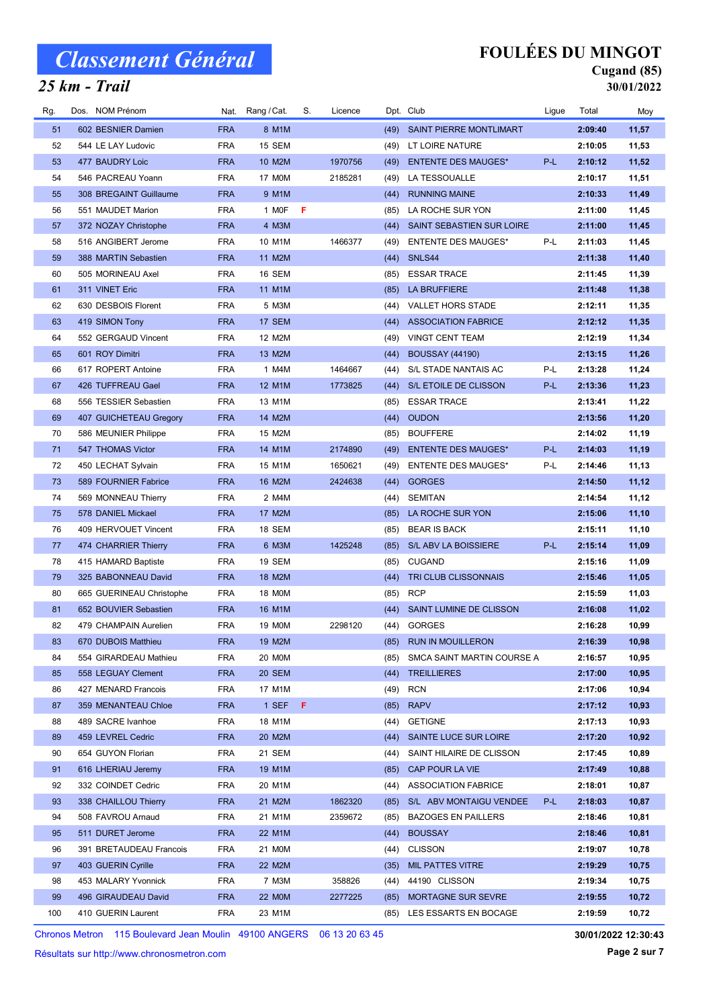### 25 km - Trail

## FOULÉES DU MINGOT

#### Cugand (85) 30/01/2022

| Rg. | Dos. NOM Prénom                             | Nat.       | Rang / Cat.   | S. | Licence |      | Dpt. Club                      | Ligue | Total   | Moy   |
|-----|---------------------------------------------|------------|---------------|----|---------|------|--------------------------------|-------|---------|-------|
| 51  | 602 BESNIER Damien                          | <b>FRA</b> | 8 M1M         |    |         | (49) | <b>SAINT PIERRE MONTLIMART</b> |       | 2:09:40 | 11,57 |
| 52  | 544 LE LAY Ludovic                          | <b>FRA</b> | 15 SEM        |    |         | (49) | LT LOIRE NATURE                |       | 2:10:05 | 11,53 |
| 53  | 477 BAUDRY Loic                             | <b>FRA</b> | 10 M2M        |    | 1970756 | (49) | <b>ENTENTE DES MAUGES*</b>     | P-L   | 2:10:12 | 11,52 |
| 54  | 546 PACREAU Yoann                           | <b>FRA</b> | 17 M0M        |    | 2185281 | (49) | LA TESSOUALLE                  |       | 2:10:17 | 11,51 |
| 55  | 308 BREGAINT Guillaume                      | <b>FRA</b> | 9 M1M         |    |         | (44) | <b>RUNNING MAINE</b>           |       | 2:10:33 | 11,49 |
| 56  | 551 MAUDET Marion                           | <b>FRA</b> | 1 MOF         | -F |         | (85) | LA ROCHE SUR YON               |       | 2:11:00 | 11,45 |
| 57  | 372 NOZAY Christophe                        | <b>FRA</b> | 4 M3M         |    |         | (44) | SAINT SEBASTIEN SUR LOIRE      |       | 2:11:00 | 11,45 |
| 58  | 516 ANGIBERT Jerome                         | <b>FRA</b> | 10 M1M        |    | 1466377 | (49) | <b>ENTENTE DES MAUGES*</b>     | P-L   | 2:11:03 | 11,45 |
| 59  | 388 MARTIN Sebastien                        | <b>FRA</b> | 11 M2M        |    |         | (44) | SNLS44                         |       | 2:11:38 | 11,40 |
| 60  | 505 MORINEAU Axel                           | <b>FRA</b> | 16 SEM        |    |         | (85) | <b>ESSAR TRACE</b>             |       | 2:11:45 | 11,39 |
| 61  | 311 VINET Eric                              | <b>FRA</b> | 11 M1M        |    |         | (85) | <b>LA BRUFFIERE</b>            |       | 2:11:48 | 11,38 |
| 62  | 630 DESBOIS Florent                         | <b>FRA</b> | 5 M3M         |    |         | (44) | <b>VALLET HORS STADE</b>       |       | 2:12:11 | 11,35 |
| 63  | 419 SIMON Tony                              | <b>FRA</b> | 17 SEM        |    |         | (44) | <b>ASSOCIATION FABRICE</b>     |       | 2:12:12 | 11,35 |
| 64  | 552 GERGAUD Vincent                         | <b>FRA</b> | 12 M2M        |    |         | (49) | <b>VINGT CENT TEAM</b>         |       | 2:12:19 | 11,34 |
| 65  | 601 ROY Dimitri                             | <b>FRA</b> | 13 M2M        |    |         | (44) | <b>BOUSSAY (44190)</b>         |       | 2:13:15 | 11,26 |
| 66  | 617 ROPERT Antoine                          | <b>FRA</b> | 1 M4M         |    | 1464667 | (44) | S/L STADE NANTAIS AC           | P-L   | 2:13:28 | 11,24 |
| 67  | 426 TUFFREAU Gael                           | <b>FRA</b> | 12 M1M        |    | 1773825 | (44) | S/L ETOILE DE CLISSON          | P-L   | 2:13:36 | 11,23 |
| 68  | 556 TESSIER Sebastien                       | <b>FRA</b> | 13 M1M        |    |         | (85) | <b>ESSAR TRACE</b>             |       | 2:13:41 | 11,22 |
| 69  | 407 GUICHETEAU Gregory                      | <b>FRA</b> | 14 M2M        |    |         | (44) | <b>OUDON</b>                   |       | 2:13:56 | 11,20 |
| 70  | 586 MEUNIER Philippe                        | <b>FRA</b> | 15 M2M        |    |         | (85) | <b>BOUFFERE</b>                |       | 2:14:02 | 11,19 |
| 71  | 547 THOMAS Victor                           | <b>FRA</b> | 14 M1M        |    | 2174890 | (49) | <b>ENTENTE DES MAUGES*</b>     | P-L   | 2:14:03 | 11,19 |
| 72  | 450 LECHAT Sylvain                          | <b>FRA</b> | 15 M1M        |    | 1650621 | (49) | <b>ENTENTE DES MAUGES*</b>     | P-L   | 2:14:46 | 11,13 |
| 73  | 589 FOURNIER Fabrice                        | <b>FRA</b> | 16 M2M        |    | 2424638 | (44) | <b>GORGES</b>                  |       | 2:14:50 | 11,12 |
| 74  | 569 MONNEAU Thierry                         | <b>FRA</b> | 2 M4M         |    |         | (44) | <b>SEMITAN</b>                 |       | 2:14:54 | 11,12 |
| 75  | 578 DANIEL Mickael                          | <b>FRA</b> | 17 M2M        |    |         | (85) | LA ROCHE SUR YON               |       | 2:15:06 | 11,10 |
| 76  | 409 HERVOUET Vincent                        | <b>FRA</b> | 18 SEM        |    |         | (85) | <b>BEAR IS BACK</b>            |       | 2:15:11 | 11,10 |
| 77  | 474 CHARRIER Thierry                        | <b>FRA</b> | 6 M3M         |    | 1425248 | (85) | S/L ABV LA BOISSIERE           | P-L   | 2:15:14 | 11,09 |
| 78  | 415 HAMARD Baptiste                         | <b>FRA</b> | 19 SEM        |    |         | (85) | <b>CUGAND</b>                  |       | 2:15:16 | 11,09 |
| 79  | 325 BABONNEAU David                         | <b>FRA</b> | 18 M2M        |    |         | (44) | TRI CLUB CLISSONNAIS           |       | 2:15:46 | 11,05 |
| 80  | 665 GUERINEAU Christophe                    | <b>FRA</b> | 18 M0M        |    |         | (85) | <b>RCP</b>                     |       | 2:15:59 | 11,03 |
| 81  | 652 BOUVIER Sebastien                       | <b>FRA</b> | 16 M1M        |    |         | (44) | SAINT LUMINE DE CLISSON        |       | 2:16:08 | 11,02 |
| 82  | 479 CHAMPAIN Aurelien                       | <b>FRA</b> | 19 M0M        |    | 2298120 |      | (44) GORGES                    |       | 2:16:28 | 10,99 |
| 83  |                                             | <b>FRA</b> |               |    |         |      |                                |       |         | 10,98 |
|     | 670 DUBOIS Matthieu                         |            | 19 M2M        |    |         |      | (85) RUN IN MOUILLERON         |       | 2:16:39 |       |
| 84  | 554 GIRARDEAU Mathieu<br>558 LEGUAY Clement | <b>FRA</b> | 20 MOM        |    |         | (85) | SMCA SAINT MARTIN COURSE A     |       | 2:16:57 | 10,95 |
| 85  |                                             | <b>FRA</b> | <b>20 SEM</b> |    |         | (44) | <b>TREILLIERES</b>             |       | 2:17:00 | 10,95 |
| 86  | 427 MENARD Francois                         | <b>FRA</b> | 17 M1M        |    |         | (49) | <b>RCN</b>                     |       | 2:17:06 | 10,94 |
| 87  | 359 MENANTEAU Chloe<br>489 SACRE Ivanhoe    | <b>FRA</b> | $1$ SEF F     |    |         | (85) | <b>RAPV</b>                    |       | 2:17:12 | 10,93 |
| 88  |                                             | <b>FRA</b> | 18 M1M        |    |         | (44) | <b>GETIGNE</b>                 |       | 2:17:13 | 10,93 |
| 89  | 459 LEVREL Cedric                           | <b>FRA</b> | 20 M2M        |    |         | (44) | SAINTE LUCE SUR LOIRE          |       | 2:17:20 | 10,92 |
| 90  | 654 GUYON Florian                           | <b>FRA</b> | 21 SEM        |    |         | (44) | SAINT HILAIRE DE CLISSON       |       | 2:17:45 | 10,89 |
| 91  | 616 LHERIAU Jeremy                          | <b>FRA</b> | 19 M1M        |    |         | (85) | CAP POUR LA VIE                |       | 2:17:49 | 10,88 |
| 92  | 332 COINDET Cedric                          | <b>FRA</b> | 20 M1M        |    |         | (44) | <b>ASSOCIATION FABRICE</b>     |       | 2:18:01 | 10,87 |
| 93  | 338 CHAILLOU Thierry                        | <b>FRA</b> | 21 M2M        |    | 1862320 | (85) | S/L ABV MONTAIGU VENDEE        | P-L   | 2:18:03 | 10,87 |
| 94  | 508 FAVROU Arnaud                           | <b>FRA</b> | 21 M1M        |    | 2359672 | (85) | <b>BAZOGES EN PAILLERS</b>     |       | 2:18:46 | 10,81 |
| 95  | 511 DURET Jerome                            | <b>FRA</b> | 22 M1M        |    |         | (44) | <b>BOUSSAY</b>                 |       | 2:18:46 | 10,81 |
| 96  | 391 BRETAUDEAU Francois                     | <b>FRA</b> | 21 M0M        |    |         | (44) | <b>CLISSON</b>                 |       | 2:19:07 | 10,78 |
| 97  | 403 GUERIN Cyrille                          | <b>FRA</b> | 22 M2M        |    |         | (35) | <b>MIL PATTES VITRE</b>        |       | 2:19:29 | 10,75 |
| 98  | 453 MALARY Yvonnick                         | <b>FRA</b> | 7 M3M         |    | 358826  | (44) | 44190 CLISSON                  |       | 2:19:34 | 10,75 |
| 99  | 496 GIRAUDEAU David                         | <b>FRA</b> | 22 MOM        |    | 2277225 | (85) | MORTAGNE SUR SEVRE             |       | 2:19:55 | 10,72 |
| 100 | 410 GUERIN Laurent                          | <b>FRA</b> | 23 M1M        |    |         | (85) | LES ESSARTS EN BOCAGE          |       | 2:19:59 | 10,72 |

Chronos Metron 115 Boulevard Jean Moulin 49100 ANGERS 06 13 20 63 45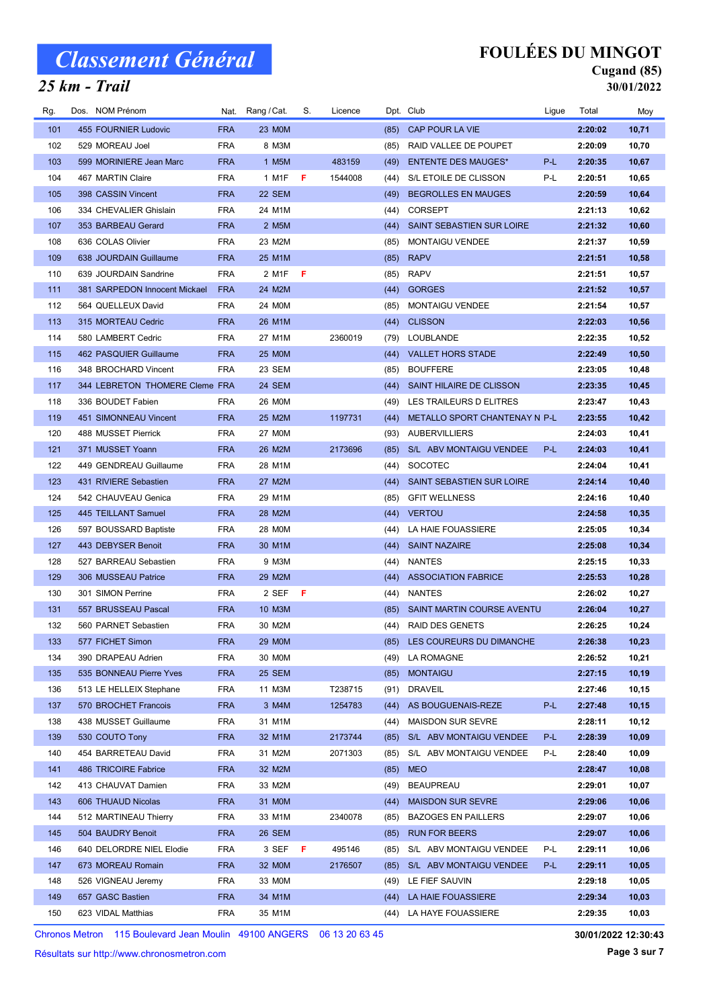### 25 km - Trail

## FOULÉES DU MINGOT

#### Cugand (85) 30/01/2022

| Rg. | Dos. NOM Prénom                |            | Nat. Rang / Cat.   | S.  | Licence |      | Dpt. Club                     | Ligue | Total   | Moy   |
|-----|--------------------------------|------------|--------------------|-----|---------|------|-------------------------------|-------|---------|-------|
| 101 | 455 FOURNIER Ludovic           | <b>FRA</b> | 23 MOM             |     |         | (85) | CAP POUR LA VIE               |       | 2:20:02 | 10,71 |
| 102 | 529 MOREAU Joel                | <b>FRA</b> | 8 M3M              |     |         | (85) | RAID VALLEE DE POUPET         |       | 2:20:09 | 10,70 |
| 103 | 599 MORINIERE Jean Marc        | <b>FRA</b> | 1 M5M              |     | 483159  | (49) | <b>ENTENTE DES MAUGES*</b>    | P-L   | 2:20:35 | 10,67 |
| 104 | 467 MARTIN Claire              | <b>FRA</b> | 1 M1F              | -F  | 1544008 | (44) | S/L ETOILE DE CLISSON         | P-L   | 2:20:51 | 10,65 |
| 105 | 398 CASSIN Vincent             | <b>FRA</b> | 22 SEM             |     |         | (49) | <b>BEGROLLES EN MAUGES</b>    |       | 2:20:59 | 10,64 |
| 106 | 334 CHEVALIER Ghislain         | <b>FRA</b> | 24 M1M             |     |         | (44) | <b>CORSEPT</b>                |       | 2:21:13 | 10,62 |
| 107 | 353 BARBEAU Gerard             | <b>FRA</b> | 2 M <sub>5</sub> M |     |         | (44) | SAINT SEBASTIEN SUR LOIRE     |       | 2:21:32 | 10,60 |
| 108 | 636 COLAS Olivier              | <b>FRA</b> | 23 M2M             |     |         | (85) | <b>MONTAIGU VENDEE</b>        |       | 2:21:37 | 10,59 |
| 109 | 638 JOURDAIN Guillaume         | <b>FRA</b> | 25 M1M             |     |         | (85) | <b>RAPV</b>                   |       | 2:21:51 | 10,58 |
| 110 | 639 JOURDAIN Sandrine          | <b>FRA</b> | 2 M1F              | - F |         | (85) | <b>RAPV</b>                   |       | 2:21:51 | 10,57 |
| 111 | 381 SARPEDON Innocent Mickael  | <b>FRA</b> | 24 M2M             |     |         | (44) | <b>GORGES</b>                 |       | 2:21:52 | 10,57 |
| 112 | 564 QUELLEUX David             | <b>FRA</b> | 24 M0M             |     |         | (85) | <b>MONTAIGU VENDEE</b>        |       | 2:21:54 | 10,57 |
| 113 | 315 MORTEAU Cedric             | <b>FRA</b> | 26 M1M             |     |         | (44) | <b>CLISSON</b>                |       | 2:22:03 | 10,56 |
| 114 | 580 LAMBERT Cedric             | <b>FRA</b> | 27 M1M             |     | 2360019 | (79) | LOUBLANDE                     |       | 2:22:35 | 10,52 |
| 115 | 462 PASQUIER Guillaume         | <b>FRA</b> | <b>25 MOM</b>      |     |         | (44) | <b>VALLET HORS STADE</b>      |       | 2:22:49 | 10,50 |
| 116 | 348 BROCHARD Vincent           | <b>FRA</b> | 23 SEM             |     |         | (85) | <b>BOUFFERE</b>               |       | 2:23:05 | 10,48 |
| 117 | 344 LEBRETON THOMERE Cleme FRA |            | 24 SEM             |     |         | (44) | SAINT HILAIRE DE CLISSON      |       | 2:23:35 | 10,45 |
| 118 | 336 BOUDET Fabien              | <b>FRA</b> | 26 M0M             |     |         | (49) | LES TRAILEURS D ELITRES       |       | 2:23:47 | 10,43 |
| 119 | 451 SIMONNEAU Vincent          | <b>FRA</b> | 25 M2M             |     | 1197731 | (44) | METALLO SPORT CHANTENAY N P-L |       | 2:23:55 | 10,42 |
| 120 | 488 MUSSET Pierrick            | <b>FRA</b> | 27 M0M             |     |         | (93) | <b>AUBERVILLIERS</b>          |       | 2:24:03 | 10,41 |
| 121 | 371 MUSSET Yoann               | <b>FRA</b> | 26 M2M             |     | 2173696 | (85) | S/L ABV MONTAIGU VENDEE       | P-L   | 2:24:03 | 10,41 |
| 122 | 449 GENDREAU Guillaume         | <b>FRA</b> | 28 M1M             |     |         | (44) | <b>SOCOTEC</b>                |       | 2:24:04 | 10,41 |
| 123 | 431 RIVIERE Sebastien          | <b>FRA</b> | 27 M2M             |     |         | (44) | SAINT SEBASTIEN SUR LOIRE     |       | 2:24:14 | 10,40 |
| 124 | 542 CHAUVEAU Genica            | <b>FRA</b> | 29 M1M             |     |         | (85) | <b>GFIT WELLNESS</b>          |       | 2:24:16 | 10,40 |
| 125 | 445 TEILLANT Samuel            | <b>FRA</b> | 28 M2M             |     |         |      | (44) VERTOU                   |       | 2:24:58 | 10,35 |
| 126 | 597 BOUSSARD Baptiste          | <b>FRA</b> | 28 M0M             |     |         | (44) | LA HAIE FOUASSIERE            |       | 2:25:05 | 10,34 |
| 127 | 443 DEBYSER Benoit             | <b>FRA</b> | 30 M1M             |     |         | (44) | <b>SAINT NAZAIRE</b>          |       | 2:25:08 | 10,34 |
| 128 | 527 BARREAU Sebastien          | <b>FRA</b> | 9 M3M              |     |         | (44) | NANTES                        |       | 2:25:15 | 10,33 |
| 129 | 306 MUSSEAU Patrice            | <b>FRA</b> | 29 M2M             |     |         | (44) | <b>ASSOCIATION FABRICE</b>    |       | 2:25:53 | 10,28 |
| 130 | 301 SIMON Perrine              | <b>FRA</b> | 2 SEF              | -F  |         | (44) | NANTES                        |       | 2:26:02 | 10,27 |
| 131 | 557 BRUSSEAU Pascal            | <b>FRA</b> | 10 M3M             |     |         | (85) | SAINT MARTIN COURSE AVENTU    |       | 2:26:04 | 10,27 |
| 132 | 560 PARNET Sebastien           | <b>FRA</b> | 30 M2M             |     |         | (44) | <b>RAID DES GENETS</b>        |       | 2:26:25 | 10,24 |
| 133 | 577 FICHET Simon               | <b>FRA</b> | <b>29 MOM</b>      |     |         |      | (85) LES COUREURS DU DIMANCHE |       | 2:26:38 | 10,23 |
| 134 | 390 DRAPEAU Adrien             | <b>FRA</b> | 30 MOM             |     |         | (49) | LA ROMAGNE                    |       | 2:26:52 | 10,21 |
| 135 | 535 BONNEAU Pierre Yves        | <b>FRA</b> | 25 SEM             |     |         | (85) | <b>MONTAIGU</b>               |       | 2:27:15 | 10,19 |
| 136 | 513 LE HELLEIX Stephane        | <b>FRA</b> | 11 M3M             |     | T238715 | (91) | <b>DRAVEIL</b>                |       | 2:27:46 | 10,15 |
| 137 | 570 BROCHET Francois           | <b>FRA</b> | 3 M4M              |     | 1254783 | (44) | AS BOUGUENAIS-REZE            | P-L   | 2:27:48 | 10,15 |
| 138 | 438 MUSSET Guillaume           | <b>FRA</b> | 31 M1M             |     |         | (44) | <b>MAISDON SUR SEVRE</b>      |       | 2:28:11 | 10,12 |
| 139 | 530 COUTO Tony                 | <b>FRA</b> | 32 M1M             |     | 2173744 | (85) | S/L ABV MONTAIGU VENDEE       | P-L   | 2:28:39 | 10,09 |
| 140 | 454 BARRETEAU David            | <b>FRA</b> | 31 M2M             |     | 2071303 | (85) | S/L ABV MONTAIGU VENDEE       | P-L   | 2:28:40 | 10,09 |
| 141 | 486 TRICOIRE Fabrice           | <b>FRA</b> | 32 M2M             |     |         | (85) | <b>MEO</b>                    |       | 2:28:47 | 10,08 |
| 142 | 413 CHAUVAT Damien             | <b>FRA</b> | 33 M2M             |     |         | (49) | <b>BEAUPREAU</b>              |       | 2:29:01 | 10,07 |
| 143 | 606 THUAUD Nicolas             | <b>FRA</b> | 31 MOM             |     |         | (44) | <b>MAISDON SUR SEVRE</b>      |       | 2:29:06 | 10,06 |
| 144 | 512 MARTINEAU Thierry          | <b>FRA</b> | 33 M1M             |     | 2340078 | (85) | <b>BAZOGES EN PAILLERS</b>    |       | 2:29:07 | 10,06 |
| 145 | 504 BAUDRY Benoit              | <b>FRA</b> | <b>26 SEM</b>      |     |         | (85) | <b>RUN FOR BEERS</b>          |       | 2:29:07 | 10,06 |
| 146 | 640 DELORDRE NIEL Elodie       | <b>FRA</b> | 3 SEF              | -F  | 495146  | (85) | S/L ABV MONTAIGU VENDEE       | P-L   | 2:29:11 | 10,06 |
| 147 | 673 MOREAU Romain              | <b>FRA</b> | 32 M0M             |     | 2176507 | (85) | S/L ABV MONTAIGU VENDEE       | P-L   | 2:29:11 | 10,05 |
| 148 | 526 VIGNEAU Jeremy             | <b>FRA</b> | 33 M0M             |     |         | (49) | LE FIEF SAUVIN                |       | 2:29:18 | 10,05 |
| 149 | 657 GASC Bastien               | <b>FRA</b> | 34 M1M             |     |         | (44) | LA HAIE FOUASSIERE            |       | 2:29:34 | 10,03 |
| 150 | 623 VIDAL Matthias             | <b>FRA</b> | 35 M1M             |     |         | (44) | LA HAYE FOUASSIERE            |       | 2:29:35 | 10,03 |

Chronos Metron 115 Boulevard Jean Moulin 49100 ANGERS 06 13 20 63 45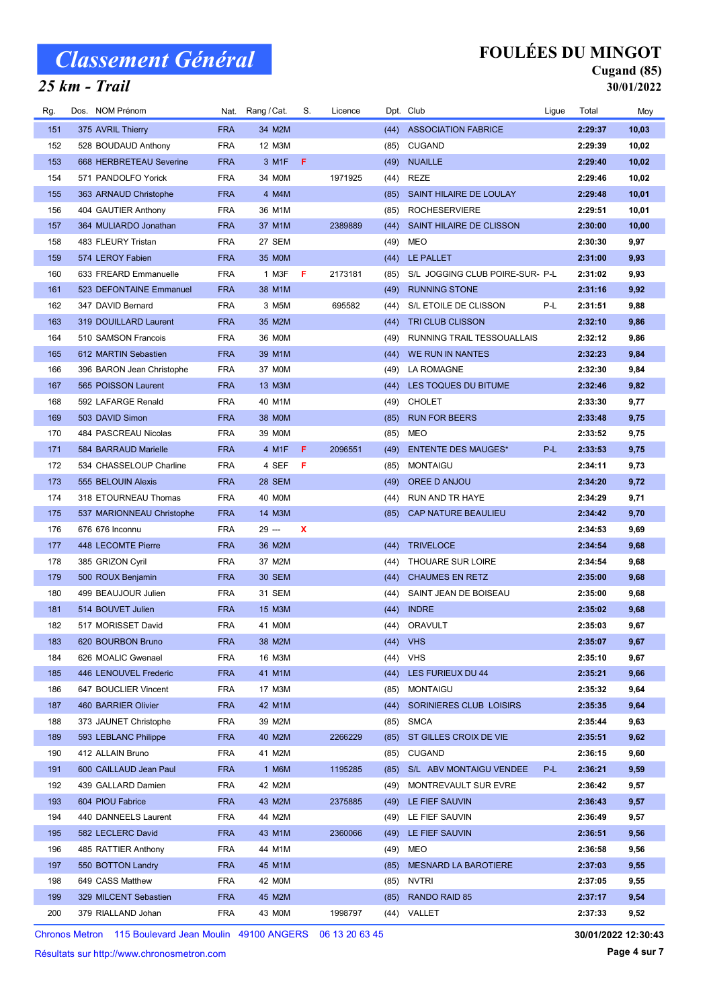### 25 km - Trail

## FOULÉES DU MINGOT

#### Cugand (85) 30/01/2022

| Rg. | Dos. NOM Prénom           |            | Nat. Rang / Cat. | S. | Licence |      | Dpt. Club                       | Ligue | Total   | Moy   |
|-----|---------------------------|------------|------------------|----|---------|------|---------------------------------|-------|---------|-------|
| 151 | 375 AVRIL Thierry         | <b>FRA</b> | 34 M2M           |    |         | (44) | <b>ASSOCIATION FABRICE</b>      |       | 2:29:37 | 10,03 |
| 152 | 528 BOUDAUD Anthony       | <b>FRA</b> | 12 M3M           |    |         | (85) | <b>CUGAND</b>                   |       | 2:29:39 | 10,02 |
| 153 | 668 HERBRETEAU Severine   | <b>FRA</b> | 3 M1F            | F. |         | (49) | <b>NUAILLE</b>                  |       | 2:29:40 | 10,02 |
| 154 | 571 PANDOLFO Yorick       | <b>FRA</b> | 34 M0M           |    | 1971925 | (44) | REZE                            |       | 2:29:46 | 10,02 |
| 155 | 363 ARNAUD Christophe     | <b>FRA</b> | 4 M4M            |    |         | (85) | SAINT HILAIRE DE LOULAY         |       | 2:29:48 | 10,01 |
| 156 | 404 GAUTIER Anthony       | <b>FRA</b> | 36 M1M           |    |         | (85) | <b>ROCHESERVIERE</b>            |       | 2:29:51 | 10,01 |
| 157 | 364 MULIARDO Jonathan     | <b>FRA</b> | 37 M1M           |    | 2389889 | (44) | SAINT HILAIRE DE CLISSON        |       | 2:30:00 | 10,00 |
| 158 | 483 FLEURY Tristan        | <b>FRA</b> | 27 SEM           |    |         | (49) | <b>MEO</b>                      |       | 2:30:30 | 9,97  |
| 159 | 574 LEROY Fabien          | <b>FRA</b> | 35 M0M           |    |         | (44) | LE PALLET                       |       | 2:31:00 | 9,93  |
| 160 | 633 FREARD Emmanuelle     | <b>FRA</b> | 1 M3F            | F  | 2173181 | (85) | S/L JOGGING CLUB POIRE-SUR- P-L |       | 2:31:02 | 9,93  |
| 161 | 523 DEFONTAINE Emmanuel   | <b>FRA</b> | 38 M1M           |    |         | (49) | <b>RUNNING STONE</b>            |       | 2:31:16 | 9,92  |
| 162 | 347 DAVID Bernard         | <b>FRA</b> | 3 M5M            |    | 695582  | (44) | S/L ETOILE DE CLISSON           | P-L   | 2:31:51 | 9,88  |
| 163 | 319 DOUILLARD Laurent     | <b>FRA</b> | 35 M2M           |    |         | (44) | TRI CLUB CLISSON                |       | 2:32:10 | 9,86  |
| 164 | 510 SAMSON Francois       | <b>FRA</b> | 36 M0M           |    |         | (49) | RUNNING TRAIL TESSOUALLAIS      |       | 2:32:12 | 9,86  |
| 165 | 612 MARTIN Sebastien      | <b>FRA</b> | 39 M1M           |    |         | (44) | WE RUN IN NANTES                |       | 2:32:23 | 9,84  |
| 166 | 396 BARON Jean Christophe | <b>FRA</b> | 37 M0M           |    |         | (49) | LA ROMAGNE                      |       | 2:32:30 | 9,84  |
| 167 | 565 POISSON Laurent       | <b>FRA</b> | 13 M3M           |    |         | (44) | LES TOQUES DU BITUME            |       | 2:32:46 | 9,82  |
| 168 | 592 LAFARGE Renald        | <b>FRA</b> | 40 M1M           |    |         | (49) | <b>CHOLET</b>                   |       | 2:33:30 | 9,77  |
| 169 | 503 DAVID Simon           | <b>FRA</b> | 38 MOM           |    |         | (85) | <b>RUN FOR BEERS</b>            |       | 2:33:48 | 9,75  |
| 170 | 484 PASCREAU Nicolas      | <b>FRA</b> | 39 MOM           |    |         | (85) | <b>MEO</b>                      |       | 2:33:52 | 9,75  |
| 171 | 584 BARRAUD Marielle      | <b>FRA</b> | 4 M1F            | F. | 2096551 | (49) | <b>ENTENTE DES MAUGES*</b>      | P-L   | 2:33:53 | 9,75  |
| 172 | 534 CHASSELOUP Charline   | <b>FRA</b> | 4 SEF            | -F |         | (85) | <b>MONTAIGU</b>                 |       | 2:34:11 | 9,73  |
| 173 | 555 BELOUIN Alexis        | <b>FRA</b> | <b>28 SEM</b>    |    |         | (49) | OREE D ANJOU                    |       | 2:34:20 | 9,72  |
| 174 | 318 ETOURNEAU Thomas      | <b>FRA</b> | 40 MOM           |    |         | (44) | RUN AND TR HAYE                 |       | 2:34:29 | 9,71  |
| 175 | 537 MARIONNEAU Christophe | <b>FRA</b> | 14 M3M           |    |         | (85) | CAP NATURE BEAULIEU             |       | 2:34:42 | 9,70  |
| 176 | 676 676 Inconnu           | <b>FRA</b> | 29 ---           | x  |         |      |                                 |       | 2:34:53 | 9,69  |
| 177 | 448 LECOMTE Pierre        | <b>FRA</b> | 36 M2M           |    |         | (44) | <b>TRIVELOCE</b>                |       | 2:34:54 | 9,68  |
| 178 | 385 GRIZON Cyril          | <b>FRA</b> | 37 M2M           |    |         | (44) | THOUARE SUR LOIRE               |       | 2:34:54 | 9,68  |
| 179 | 500 ROUX Benjamin         | <b>FRA</b> | <b>30 SEM</b>    |    |         | (44) | <b>CHAUMES EN RETZ</b>          |       | 2:35:00 | 9,68  |
| 180 | 499 BEAUJOUR Julien       | <b>FRA</b> | 31 SEM           |    |         | (44) | SAINT JEAN DE BOISEAU           |       | 2:35:00 | 9,68  |
| 181 | 514 BOUVET Julien         | <b>FRA</b> | 15 M3M           |    |         | (44) | <b>INDRE</b>                    |       | 2:35:02 | 9,68  |
| 182 | 517 MORISSET David        | <b>FRA</b> | 41 M0M           |    |         |      | (44) ORAVULT                    |       | 2:35:03 | 9,67  |
| 183 | 620 BOURBON Bruno         | <b>FRA</b> | 38 M2M           |    |         |      | $(44)$ VHS                      |       | 2:35:07 | 9,67  |
| 184 | 626 MOALIC Gwenael        | <b>FRA</b> | 16 M3M           |    |         | (44) | <b>VHS</b>                      |       | 2:35:10 | 9,67  |
| 185 | 446 LENOUVEL Frederic     | <b>FRA</b> | 41 M1M           |    |         | (44) | <b>LES FURIEUX DU 44</b>        |       | 2:35:21 | 9,66  |
| 186 | 647 BOUCLIER Vincent      | <b>FRA</b> | 17 M3M           |    |         | (85) | <b>MONTAIGU</b>                 |       | 2:35:32 | 9,64  |
| 187 | 460 BARRIER Olivier       | <b>FRA</b> | 42 M1M           |    |         | (44) | SORINIERES CLUB LOISIRS         |       | 2:35:35 | 9,64  |
| 188 | 373 JAUNET Christophe     | <b>FRA</b> | 39 M2M           |    |         | (85) | <b>SMCA</b>                     |       | 2:35:44 | 9,63  |
| 189 | 593 LEBLANC Philippe      | <b>FRA</b> | 40 M2M           |    | 2266229 | (85) | ST GILLES CROIX DE VIE          |       | 2:35:51 | 9,62  |
| 190 | 412 ALLAIN Bruno          | <b>FRA</b> | 41 M2M           |    |         | (85) | <b>CUGAND</b>                   |       | 2:36:15 | 9,60  |
| 191 | 600 CAILLAUD Jean Paul    | <b>FRA</b> | 1 M6M            |    | 1195285 | (85) | S/L ABV MONTAIGU VENDEE         | P-L   | 2:36:21 | 9,59  |
| 192 | 439 GALLARD Damien        | <b>FRA</b> | 42 M2M           |    |         | (49) | MONTREVAULT SUR EVRE            |       | 2:36:42 | 9,57  |
| 193 | 604 PIOU Fabrice          | <b>FRA</b> | 43 M2M           |    | 2375885 | (49) | LE FIEF SAUVIN                  |       | 2:36:43 | 9,57  |
| 194 | 440 DANNEELS Laurent      | <b>FRA</b> | 44 M2M           |    |         | (49) | LE FIEF SAUVIN                  |       | 2:36:49 | 9,57  |
| 195 | 582 LECLERC David         | <b>FRA</b> | 43 M1M           |    | 2360066 | (49) | LE FIEF SAUVIN                  |       | 2:36:51 | 9,56  |
| 196 | 485 RATTIER Anthony       | <b>FRA</b> | 44 M1M           |    |         | (49) | MEO                             |       | 2:36:58 | 9,56  |
| 197 | 550 BOTTON Landry         | <b>FRA</b> | 45 M1M           |    |         | (85) | <b>MESNARD LA BAROTIERE</b>     |       | 2:37:03 | 9,55  |
| 198 | 649 CASS Matthew          | <b>FRA</b> | 42 M0M           |    |         | (85) | <b>NVTRI</b>                    |       | 2:37:05 | 9,55  |
| 199 | 329 MILCENT Sebastien     | <b>FRA</b> | 45 M2M           |    |         | (85) | RANDO RAID 85                   |       | 2:37:17 | 9,54  |
| 200 | 379 RIALLAND Johan        | <b>FRA</b> | 43 MOM           |    | 1998797 |      | (44) VALLET                     |       | 2:37:33 | 9,52  |

Chronos Metron 115 Boulevard Jean Moulin 49100 ANGERS 06 13 20 63 45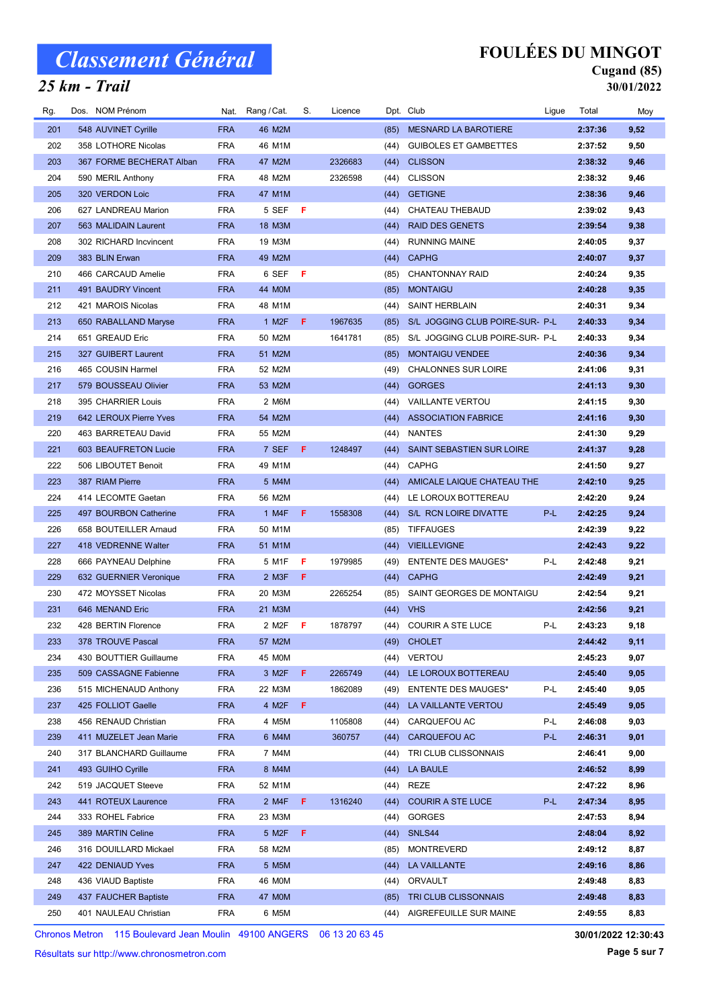## 25 km - Trail

### FOULÉES DU MINGOT

# Cugand (85)

30/01/2022

| Rg. | Dos. NOM Prénom          | Nat.       | Rang / Cat.        | S.  | Licence |      | Dpt. Club                       | Ligue | Total   | Moy  |
|-----|--------------------------|------------|--------------------|-----|---------|------|---------------------------------|-------|---------|------|
| 201 | 548 AUVINET Cyrille      | <b>FRA</b> | 46 M2M             |     |         | (85) | <b>MESNARD LA BAROTIERE</b>     |       | 2:37:36 | 9,52 |
| 202 | 358 LOTHORE Nicolas      | <b>FRA</b> | 46 M1M             |     |         | (44) | <b>GUIBOLES ET GAMBETTES</b>    |       | 2:37:52 | 9,50 |
| 203 | 367 FORME BECHERAT Alban | <b>FRA</b> | 47 M2M             |     | 2326683 | (44) | <b>CLISSON</b>                  |       | 2:38:32 | 9,46 |
| 204 | 590 MERIL Anthony        | <b>FRA</b> | 48 M2M             |     | 2326598 | (44) | <b>CLISSON</b>                  |       | 2:38:32 | 9,46 |
| 205 | 320 VERDON Loic          | <b>FRA</b> | 47 M1M             |     |         | (44) | <b>GETIGNE</b>                  |       | 2:38:36 | 9,46 |
| 206 | 627 LANDREAU Marion      | <b>FRA</b> | 5 SEF              | - F |         | (44) | CHATEAU THEBAUD                 |       | 2:39:02 | 9,43 |
| 207 | 563 MALIDAIN Laurent     | <b>FRA</b> | 18 M3M             |     |         | (44) | <b>RAID DES GENETS</b>          |       | 2:39:54 | 9,38 |
| 208 | 302 RICHARD Incvincent   | <b>FRA</b> | 19 M3M             |     |         | (44) | <b>RUNNING MAINE</b>            |       | 2:40:05 | 9,37 |
| 209 | 383 BLIN Erwan           | <b>FRA</b> | 49 M2M             |     |         | (44) | <b>CAPHG</b>                    |       | 2:40:07 | 9,37 |
| 210 | 466 CARCAUD Amelie       | <b>FRA</b> | 6 SEF              | -F  |         | (85) | <b>CHANTONNAY RAID</b>          |       | 2:40:24 | 9,35 |
| 211 | 491 BAUDRY Vincent       | <b>FRA</b> | 44 M0M             |     |         | (85) | <b>MONTAIGU</b>                 |       | 2:40:28 | 9,35 |
| 212 | 421 MAROIS Nicolas       | <b>FRA</b> | 48 M1M             |     |         | (44) | <b>SAINT HERBLAIN</b>           |       | 2:40:31 | 9,34 |
| 213 | 650 RABALLAND Maryse     | <b>FRA</b> | 1 M <sub>2</sub> F | F   | 1967635 | (85) | S/L JOGGING CLUB POIRE-SUR- P-L |       | 2:40:33 | 9,34 |
| 214 | 651 GREAUD Eric          | <b>FRA</b> | 50 M2M             |     | 1641781 | (85) | S/L JOGGING CLUB POIRE-SUR- P-L |       | 2:40:33 | 9,34 |
| 215 | 327 GUIBERT Laurent      | <b>FRA</b> | 51 M2M             |     |         | (85) | <b>MONTAIGU VENDEE</b>          |       | 2:40:36 | 9,34 |
| 216 | 465 COUSIN Harmel        | <b>FRA</b> | 52 M2M             |     |         | (49) | <b>CHALONNES SUR LOIRE</b>      |       | 2:41:06 | 9,31 |
| 217 | 579 BOUSSEAU Olivier     | <b>FRA</b> | 53 M2M             |     |         | (44) | <b>GORGES</b>                   |       | 2:41:13 | 9,30 |
| 218 | 395 CHARRIER Louis       | <b>FRA</b> | 2 M6M              |     |         | (44) | <b>VAILLANTE VERTOU</b>         |       | 2:41:15 | 9,30 |
| 219 | 642 LEROUX Pierre Yves   | <b>FRA</b> | 54 M2M             |     |         | (44) | <b>ASSOCIATION FABRICE</b>      |       | 2:41:16 | 9,30 |
| 220 | 463 BARRETEAU David      | <b>FRA</b> | 55 M2M             |     |         | (44) | <b>NANTES</b>                   |       | 2:41:30 | 9,29 |
| 221 | 603 BEAUFRETON Lucie     | <b>FRA</b> | 7 SEF              | F.  | 1248497 | (44) | SAINT SEBASTIEN SUR LOIRE       |       | 2:41:37 | 9,28 |
| 222 | 506 LIBOUTET Benoit      | <b>FRA</b> | 49 M1M             |     |         | (44) | <b>CAPHG</b>                    |       | 2:41:50 | 9,27 |
| 223 | 387 RIAM Pierre          | <b>FRA</b> | 5 M4M              |     |         | (44) | AMICALE LAIQUE CHATEAU THE      |       | 2:42:10 | 9,25 |
| 224 | 414 LECOMTE Gaetan       | <b>FRA</b> | 56 M2M             |     |         | (44) | LE LOROUX BOTTEREAU             |       | 2:42:20 | 9,24 |
| 225 | 497 BOURBON Catherine    | <b>FRA</b> | 1 M4F              | F.  | 1558308 | (44) | S/L RCN LOIRE DIVATTE           | P-L   | 2:42:25 | 9,24 |
| 226 | 658 BOUTEILLER Arnaud    | <b>FRA</b> | 50 M1M             |     |         | (85) | TIFFAUGES                       |       | 2:42:39 | 9,22 |
| 227 | 418 VEDRENNE Walter      | <b>FRA</b> | 51 M1M             |     |         | (44) | <b>VIEILLEVIGNE</b>             |       | 2:42:43 | 9,22 |
| 228 | 666 PAYNEAU Delphine     | <b>FRA</b> | 5 M1F              | F.  | 1979985 | (49) | <b>ENTENTE DES MAUGES*</b>      | P-L   | 2:42:48 | 9,21 |
| 229 | 632 GUERNIER Veronique   | <b>FRA</b> | 2 M3F              | F   |         | (44) | <b>CAPHG</b>                    |       | 2:42:49 | 9,21 |
| 230 | 472 MOYSSET Nicolas      | <b>FRA</b> | 20 M3M             |     | 2265254 | (85) | SAINT GEORGES DE MONTAIGU       |       | 2:42:54 | 9,21 |
| 231 | 646 MENAND Eric          | <b>FRA</b> | 21 M3M             |     |         | (44) | <b>VHS</b>                      |       | 2:42:56 | 9,21 |
| 232 | 428 BERTIN Florence      | <b>FRA</b> | 2 M2F              | -F  | 1878797 | (44) | <b>COURIR A STE LUCE</b>        | P-L   | 2:43:23 | 9,18 |
| 233 | 378 TROUVE Pascal        | <b>FRA</b> | 57 M2M             |     |         |      | (49) CHOLET                     |       | 2:44:42 | 9,11 |
| 234 | 430 BOUTTIER Guillaume   | <b>FRA</b> | 45 MOM             |     |         | (44) | <b>VERTOU</b>                   |       | 2:45:23 | 9,07 |
| 235 | 509 CASSAGNE Fabienne    | <b>FRA</b> | 3 M <sub>2</sub> F | F.  | 2265749 | (44) | LE LOROUX BOTTEREAU             |       | 2:45:40 | 9,05 |
| 236 | 515 MICHENAUD Anthony    | <b>FRA</b> | 22 M3M             |     | 1862089 | (49) | <b>ENTENTE DES MAUGES*</b>      | P-L   | 2:45:40 | 9,05 |
| 237 | 425 FOLLIOT Gaelle       | <b>FRA</b> | 4 M2F              | F.  |         | (44) | LA VAILLANTE VERTOU             |       | 2:45:49 | 9,05 |
| 238 | 456 RENAUD Christian     | <b>FRA</b> | 4 M5M              |     | 1105808 | (44) | CARQUEFOU AC                    | P-L   | 2:46:08 | 9,03 |
| 239 | 411 MUZELET Jean Marie   | <b>FRA</b> | 6 M4M              |     | 360757  | (44) | CARQUEFOU AC                    | P-L   | 2:46:31 | 9,01 |
| 240 | 317 BLANCHARD Guillaume  | <b>FRA</b> | 7 M4M              |     |         | (44) | TRI CLUB CLISSONNAIS            |       | 2:46:41 | 9,00 |
| 241 | 493 GUIHO Cyrille        | <b>FRA</b> | 8 M4M              |     |         | (44) | LA BAULE                        |       | 2:46:52 | 8,99 |
| 242 | 519 JACQUET Steeve       | <b>FRA</b> | 52 M1M             |     |         | (44) | REZE                            |       | 2:47:22 | 8,96 |
| 243 | 441 ROTEUX Laurence      | <b>FRA</b> | 2 M4F              | F   | 1316240 | (44) | <b>COURIR A STE LUCE</b>        | P-L   | 2:47:34 | 8,95 |
| 244 | 333 ROHEL Fabrice        | <b>FRA</b> | 23 M3M             |     |         | (44) | <b>GORGES</b>                   |       | 2:47:53 | 8,94 |
| 245 | 389 MARTIN Celine        | <b>FRA</b> | 5 M2F              | F   |         | (44) | SNLS44                          |       | 2:48:04 | 8,92 |
| 246 | 316 DOUILLARD Mickael    | <b>FRA</b> | 58 M2M             |     |         | (85) | <b>MONTREVERD</b>               |       | 2:49:12 | 8,87 |
| 247 | 422 DENIAUD Yves         | <b>FRA</b> | 5 M5M              |     |         | (44) | <b>LA VAILLANTE</b>             |       | 2:49:16 | 8,86 |
| 248 | 436 VIAUD Baptiste       | <b>FRA</b> | 46 M0M             |     |         | (44) | ORVAULT                         |       | 2:49:48 | 8,83 |
| 249 | 437 FAUCHER Baptiste     | <b>FRA</b> | 47 M0M             |     |         | (85) | TRI CLUB CLISSONNAIS            |       | 2:49:48 | 8,83 |
| 250 | 401 NAULEAU Christian    | <b>FRA</b> | 6 M5M              |     |         | (44) | AIGREFEUILLE SUR MAINE          |       | 2:49:55 | 8,83 |
|     |                          |            |                    |     |         |      |                                 |       |         |      |

Chronos Metron 115 Boulevard Jean Moulin 49100 ANGERS 06 13 20 63 45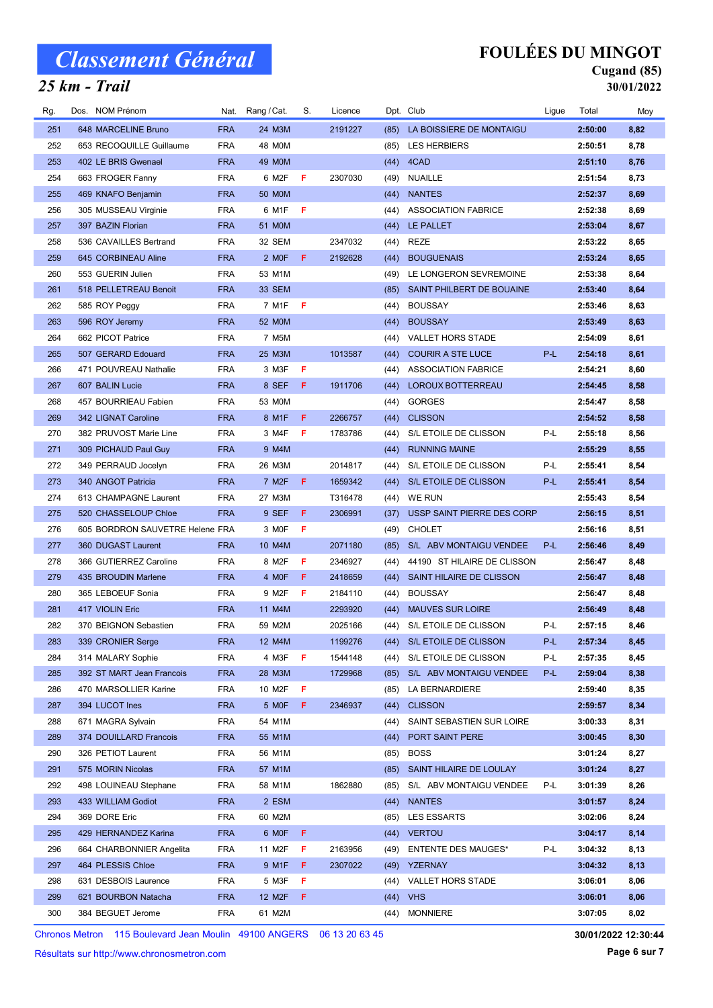### 25 km - Trail

## FOULÉES DU MINGOT

#### Cugand (85) 30/01/2022

| Rg. | Dos. NOM Prénom |                                 |            | Nat. Rang / Cat.    | S.  | Licence |      | Dpt. Club                   | Ligue | Total   | Moy  |
|-----|-----------------|---------------------------------|------------|---------------------|-----|---------|------|-----------------------------|-------|---------|------|
| 251 |                 | 648 MARCELINE Bruno             | <b>FRA</b> | 24 M3M              |     | 2191227 | (85) | LA BOISSIERE DE MONTAIGU    |       | 2:50:00 | 8,82 |
| 252 |                 | 653 RECOQUILLE Guillaume        | <b>FRA</b> | 48 M0M              |     |         | (85) | <b>LES HERBIERS</b>         |       | 2:50:51 | 8,78 |
| 253 |                 | 402 LE BRIS Gwenael             | <b>FRA</b> | 49 M0M              |     |         | (44) | 4CAD                        |       | 2:51:10 | 8,76 |
| 254 |                 | 663 FROGER Fanny                | <b>FRA</b> | 6 M2F               | F.  | 2307030 | (49) | <b>NUAILLE</b>              |       | 2:51:54 | 8,73 |
| 255 |                 | 469 KNAFO Benjamin              | <b>FRA</b> | <b>50 MOM</b>       |     |         | (44) | <b>NANTES</b>               |       | 2:52:37 | 8,69 |
| 256 |                 | 305 MUSSEAU Virginie            | <b>FRA</b> | 6 M1F               | F   |         | (44) | <b>ASSOCIATION FABRICE</b>  |       | 2:52:38 | 8,69 |
| 257 |                 | 397 BAZIN Florian               | <b>FRA</b> | 51 M0M              |     |         | (44) | LE PALLET                   |       | 2:53:04 | 8,67 |
| 258 |                 | 536 CAVAILLES Bertrand          | <b>FRA</b> | 32 SEM              |     | 2347032 | (44) | <b>REZE</b>                 |       | 2:53:22 | 8,65 |
| 259 |                 | 645 CORBINEAU Aline             | <b>FRA</b> | 2 MOF               | - F | 2192628 | (44) | <b>BOUGUENAIS</b>           |       | 2:53:24 | 8,65 |
| 260 |                 | 553 GUERIN Julien               | <b>FRA</b> | 53 M1M              |     |         | (49) | LE LONGERON SEVREMOINE      |       | 2:53:38 | 8,64 |
| 261 |                 | 518 PELLETREAU Benoit           | <b>FRA</b> | <b>33 SEM</b>       |     |         | (85) | SAINT PHILBERT DE BOUAINE   |       | 2:53:40 | 8,64 |
| 262 |                 | 585 ROY Peggy                   | <b>FRA</b> | 7 M1F               | F   |         | (44) | <b>BOUSSAY</b>              |       | 2:53:46 | 8,63 |
| 263 |                 | 596 ROY Jeremy                  | <b>FRA</b> | 52 M0M              |     |         | (44) | <b>BOUSSAY</b>              |       | 2:53:49 | 8,63 |
| 264 |                 | 662 PICOT Patrice               | <b>FRA</b> | 7 M <sub>5</sub> M  |     |         | (44) | <b>VALLET HORS STADE</b>    |       | 2:54:09 | 8,61 |
| 265 |                 | 507 GERARD Edouard              | <b>FRA</b> | 25 M3M              |     | 1013587 | (44) | <b>COURIR A STE LUCE</b>    | P-L   | 2:54:18 | 8,61 |
| 266 |                 | 471 POUVREAU Nathalie           | <b>FRA</b> | 3 M3F               | F   |         | (44) | <b>ASSOCIATION FABRICE</b>  |       | 2:54:21 | 8,60 |
| 267 |                 | 607 BALIN Lucie                 | <b>FRA</b> | 8 SEF               | F.  | 1911706 | (44) | LOROUX BOTTERREAU           |       | 2:54:45 | 8,58 |
| 268 |                 | 457 BOURRIEAU Fabien            | <b>FRA</b> | 53 MOM              |     |         | (44) | <b>GORGES</b>               |       | 2:54:47 | 8,58 |
| 269 |                 | 342 LIGNAT Caroline             | <b>FRA</b> | 8 M1F               | F   | 2266757 | (44) | <b>CLISSON</b>              |       | 2:54:52 | 8,58 |
| 270 |                 | 382 PRUVOST Marie Line          | <b>FRA</b> | 3 M4F               | F   | 1783786 | (44) | S/L ETOILE DE CLISSON       | P-L   | 2:55:18 | 8,56 |
| 271 |                 | 309 PICHAUD Paul Guy            | <b>FRA</b> | 9 M4M               |     |         | (44) | <b>RUNNING MAINE</b>        |       | 2:55:29 | 8,55 |
| 272 |                 | 349 PERRAUD Jocelyn             | <b>FRA</b> | 26 M3M              |     | 2014817 | (44) | S/L ETOILE DE CLISSON       | P-L   | 2:55:41 | 8,54 |
| 273 |                 | 340 ANGOT Patricia              | <b>FRA</b> | 7 M <sub>2</sub> F  | F.  | 1659342 | (44) | S/L ETOILE DE CLISSON       | P-L   | 2:55:41 | 8,54 |
| 274 |                 | 613 CHAMPAGNE Laurent           | <b>FRA</b> | 27 M3M              |     | T316478 |      | (44) WE RUN                 |       | 2:55:43 | 8,54 |
| 275 |                 | 520 CHASSELOUP Chloe            | <b>FRA</b> | 9 SEF               | F.  | 2306991 | (37) | USSP SAINT PIERRE DES CORP  |       | 2:56:15 | 8,51 |
| 276 |                 | 605 BORDRON SAUVETRE Helene FRA |            | 3 MOF               | F   |         | (49) | <b>CHOLET</b>               |       | 2:56:16 | 8,51 |
| 277 |                 | 360 DUGAST Laurent              | <b>FRA</b> | 10 M4M              |     | 2071180 | (85) | S/L ABV MONTAIGU VENDEE     | P-L   | 2:56:46 | 8,49 |
| 278 |                 | 366 GUTIERREZ Caroline          | <b>FRA</b> | 8 M2F               | F   | 2346927 | (44) | 44190 ST HILAIRE DE CLISSON |       | 2:56:47 | 8,48 |
| 279 |                 | 435 BROUDIN Marlene             | <b>FRA</b> | 4 MOF               | F   | 2418659 | (44) | SAINT HILAIRE DE CLISSON    |       | 2:56:47 | 8,48 |
| 280 |                 | 365 LEBOEUF Sonia               | <b>FRA</b> | 9 M2F               | F   | 2184110 | (44) | <b>BOUSSAY</b>              |       | 2:56:47 | 8,48 |
| 281 |                 | 417 VIOLIN Eric                 | <b>FRA</b> | 11 M4M              |     | 2293920 | (44) | <b>MAUVES SUR LOIRE</b>     |       | 2:56:49 | 8,48 |
| 282 |                 | 370 BEIGNON Sebastien           | <b>FRA</b> | 59 M2M              |     | 2025166 |      | (44) S/L ETOILE DE CLISSON  | P-L   | 2:57:15 | 8,46 |
| 283 |                 | 339 CRONIER Serge               | <b>FRA</b> | 12 M4M              |     | 1199276 |      | (44) S/L ETOILE DE CLISSON  | P-L   | 2:57:34 | 8,45 |
| 284 |                 | 314 MALARY Sophie               | <b>FRA</b> | 4 M3F               | F.  | 1544148 | (44) | S/L ETOILE DE CLISSON       | P-L   | 2:57:35 | 8,45 |
| 285 |                 | 392 ST MART Jean Francois       | <b>FRA</b> | 28 M3M              |     | 1729968 | (85) | S/L ABV MONTAIGU VENDEE     | P-L   | 2:59:04 | 8,38 |
| 286 |                 | 470 MARSOLLIER Karine           | <b>FRA</b> | 10 M2F              | F   |         | (85) | LA BERNARDIERE              |       | 2:59:40 | 8,35 |
| 287 |                 | 394 LUCOT Ines                  | <b>FRA</b> | 5 MOF               | F.  | 2346937 | (44) | <b>CLISSON</b>              |       | 2:59:57 | 8,34 |
| 288 |                 | 671 MAGRA Sylvain               | <b>FRA</b> | 54 M1M              |     |         | (44) | SAINT SEBASTIEN SUR LOIRE   |       | 3:00:33 | 8,31 |
| 289 |                 | 374 DOUILLARD Francois          | <b>FRA</b> | 55 M1M              |     |         | (44) | PORT SAINT PERE             |       | 3:00:45 | 8,30 |
| 290 |                 | 326 PETIOT Laurent              | <b>FRA</b> | 56 M1M              |     |         | (85) | <b>BOSS</b>                 |       | 3:01:24 | 8,27 |
| 291 |                 | 575 MORIN Nicolas               | <b>FRA</b> | 57 M1M              |     |         | (85) | SAINT HILAIRE DE LOULAY     |       | 3:01:24 | 8,27 |
| 292 |                 | 498 LOUINEAU Stephane           | <b>FRA</b> | 58 M1M              |     | 1862880 | (85) | S/L ABV MONTAIGU VENDEE     | P-L   | 3:01:39 | 8,26 |
| 293 |                 | 433 WILLIAM Godiot              | <b>FRA</b> | 2 ESM               |     |         | (44) | <b>NANTES</b>               |       | 3:01:57 | 8,24 |
| 294 | 369 DORE Eric   |                                 | <b>FRA</b> | 60 M2M              |     |         | (85) | <b>LES ESSARTS</b>          |       | 3:02:06 | 8,24 |
| 295 |                 | 429 HERNANDEZ Karina            | <b>FRA</b> | 6 MOF               | F   |         | (44) | <b>VERTOU</b>               |       | 3:04:17 | 8,14 |
| 296 |                 | 664 CHARBONNIER Angelita        | <b>FRA</b> | 11 M2F              | F   | 2163956 | (49) | <b>ENTENTE DES MAUGES*</b>  | P-L   | 3:04:32 | 8,13 |
| 297 |                 | 464 PLESSIS Chloe               | <b>FRA</b> | 9 M1F               | F   | 2307022 | (49) | <b>YZERNAY</b>              |       | 3:04:32 | 8,13 |
| 298 |                 | 631 DESBOIS Laurence            | <b>FRA</b> | 5 M3F               | F.  |         | (44) | VALLET HORS STADE           |       | 3:06:01 | 8,06 |
| 299 |                 | 621 BOURBON Natacha             | <b>FRA</b> | 12 M <sub>2</sub> F | F   |         | (44) | <b>VHS</b>                  |       | 3:06:01 | 8,06 |
| 300 |                 | 384 BEGUET Jerome               | <b>FRA</b> | 61 M2M              |     |         | (44) | <b>MONNIERE</b>             |       | 3:07:05 | 8,02 |

Chronos Metron 115 Boulevard Jean Moulin 49100 ANGERS 06 13 20 63 45